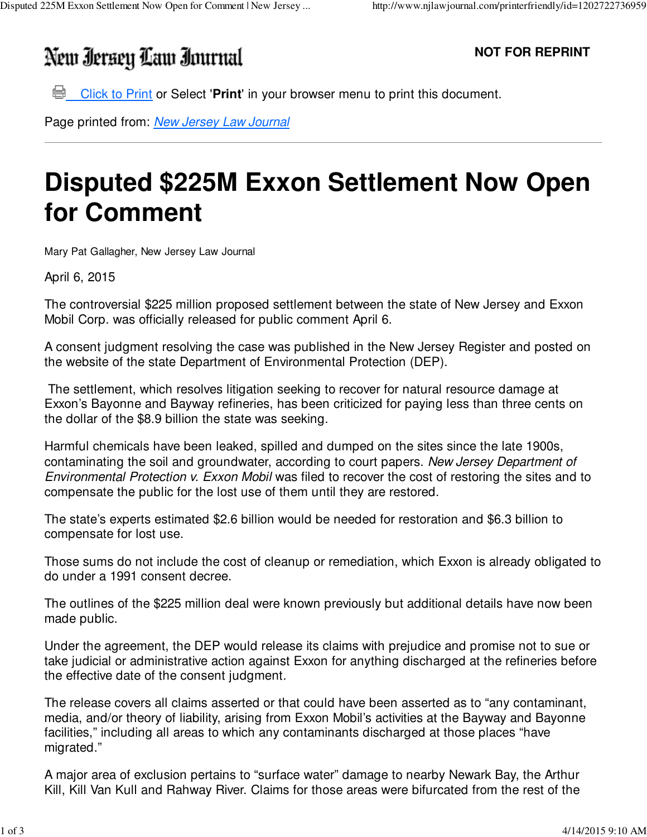## New Iersey Law Iournal

**NOT FOR REPRINT**

**Click to Print or Select 'Print'** in your browser menu to print this document.

Page printed from: New Jersey Law Journal

## **Disputed \$225M Exxon Settlement Now Open for Comment**

Mary Pat Gallagher, New Jersey Law Journal

April 6, 2015

The controversial \$225 million proposed settlement between the state of New Jersey and Exxon Mobil Corp. was officially released for public comment April 6.

A consent judgment resolving the case was published in the New Jersey Register and posted on the website of the state Department of Environmental Protection (DEP).

 The settlement, which resolves litigation seeking to recover for natural resource damage at Exxon's Bayonne and Bayway refineries, has been criticized for paying less than three cents on the dollar of the \$8.9 billion the state was seeking.

Harmful chemicals have been leaked, spilled and dumped on the sites since the late 1900s, contaminating the soil and groundwater, according to court papers. New Jersey Department of Environmental Protection v. Exxon Mobil was filed to recover the cost of restoring the sites and to compensate the public for the lost use of them until they are restored.

The state's experts estimated \$2.6 billion would be needed for restoration and \$6.3 billion to compensate for lost use.

Those sums do not include the cost of cleanup or remediation, which Exxon is already obligated to do under a 1991 consent decree.

The outlines of the \$225 million deal were known previously but additional details have now been made public.

Under the agreement, the DEP would release its claims with prejudice and promise not to sue or take judicial or administrative action against Exxon for anything discharged at the refineries before the effective date of the consent judgment.

The release covers all claims asserted or that could have been asserted as to "any contaminant, media, and/or theory of liability, arising from Exxon Mobil's activities at the Bayway and Bayonne facilities," including all areas to which any contaminants discharged at those places "have migrated."

A major area of exclusion pertains to "surface water" damage to nearby Newark Bay, the Arthur Kill, Kill Van Kull and Rahway River. Claims for those areas were bifurcated from the rest of the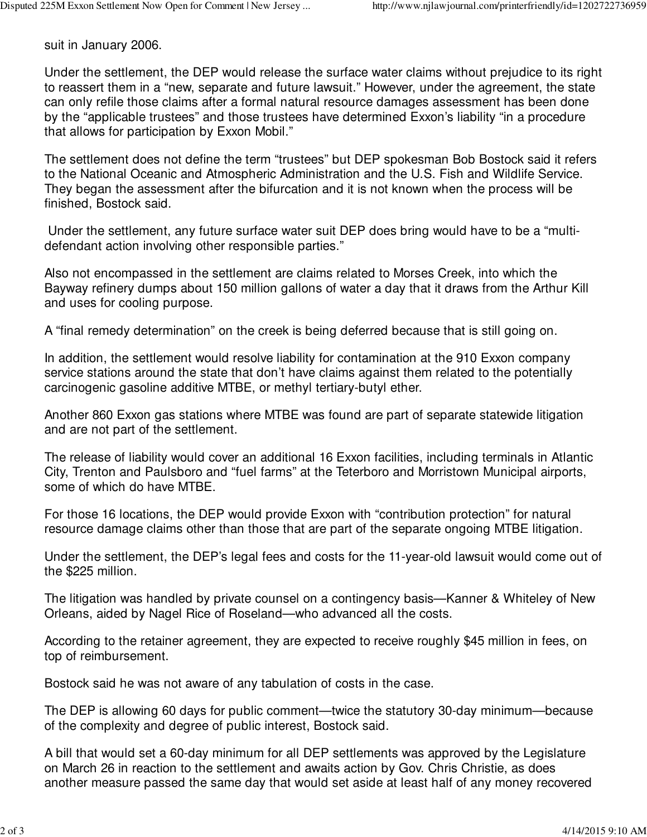suit in January 2006.

Under the settlement, the DEP would release the surface water claims without prejudice to its right to reassert them in a "new, separate and future lawsuit." However, under the agreement, the state can only refile those claims after a formal natural resource damages assessment has been done by the "applicable trustees" and those trustees have determined Exxon's liability "in a procedure that allows for participation by Exxon Mobil."

The settlement does not define the term "trustees" but DEP spokesman Bob Bostock said it refers to the National Oceanic and Atmospheric Administration and the U.S. Fish and Wildlife Service. They began the assessment after the bifurcation and it is not known when the process will be finished, Bostock said.

 Under the settlement, any future surface water suit DEP does bring would have to be a "multidefendant action involving other responsible parties."

Also not encompassed in the settlement are claims related to Morses Creek, into which the Bayway refinery dumps about 150 million gallons of water a day that it draws from the Arthur Kill and uses for cooling purpose.

A "final remedy determination" on the creek is being deferred because that is still going on.

In addition, the settlement would resolve liability for contamination at the 910 Exxon company service stations around the state that don't have claims against them related to the potentially carcinogenic gasoline additive MTBE, or methyl tertiary-butyl ether.

Another 860 Exxon gas stations where MTBE was found are part of separate statewide litigation and are not part of the settlement.

The release of liability would cover an additional 16 Exxon facilities, including terminals in Atlantic City, Trenton and Paulsboro and "fuel farms" at the Teterboro and Morristown Municipal airports, some of which do have MTBE.

For those 16 locations, the DEP would provide Exxon with "contribution protection" for natural resource damage claims other than those that are part of the separate ongoing MTBE litigation.

Under the settlement, the DEP's legal fees and costs for the 11-year-old lawsuit would come out of the \$225 million.

The litigation was handled by private counsel on a contingency basis—Kanner & Whiteley of New Orleans, aided by Nagel Rice of Roseland—who advanced all the costs.

According to the retainer agreement, they are expected to receive roughly \$45 million in fees, on top of reimbursement.

Bostock said he was not aware of any tabulation of costs in the case.

The DEP is allowing 60 days for public comment—twice the statutory 30-day minimum—because of the complexity and degree of public interest, Bostock said.

A bill that would set a 60-day minimum for all DEP settlements was approved by the Legislature on March 26 in reaction to the settlement and awaits action by Gov. Chris Christie, as does another measure passed the same day that would set aside at least half of any money recovered